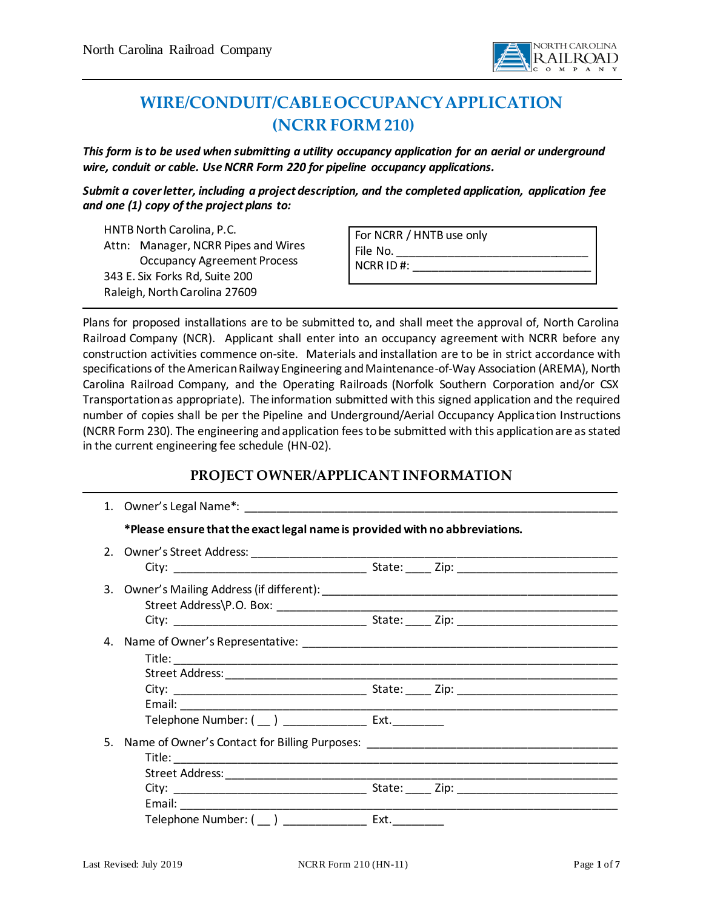

# **WIRE/CONDUIT/CABLE OCCUPANCY APPLICATION (NCRR FORM210)**

*This form is to be used when submitting a utility occupancy application for an aerial or underground wire, conduit or cable. Use NCRR Form 220 for pipeline occupancy applications.*

*Submit a cover letter, including a project description, and the completed application, application fee and one (1) copy of the project plans to:*

HNTB North Carolina, P.C. Attn: Manager, NCRR Pipes and Wires Occupancy Agreement Process 343 E. Six Forks Rd, Suite 200 Raleigh, North Carolina 27609

| For NCRR / HNTB use only |  |
|--------------------------|--|
| File No.                 |  |
| NCRRID#                  |  |
|                          |  |

Plans for proposed installations are to be submitted to, and shall meet the approval of, North Carolina Railroad Company (NCR). Applicant shall enter into an occupancy agreement with NCRR before any construction activities commence on-site. Materials and installation are to be in strict accordance with specifications of the American Railway Engineering and Maintenance-of-Way Association (AREMA), North Carolina Railroad Company, and the Operating Railroads (Norfolk Southern Corporation and/or CSX Transportation as appropriate). The information submitted with this signed application and the required number of copies shall be per the Pipeline and Underground/Aerial Occupancy Application Instructions (NCRR Form 230). The engineering and application fees to be submitted with this application are as stated in the current engineering fee schedule (HN-02).

# **PROJECT OWNER/APPLICANT INFORMATION**

|    | *Please ensure that the exact legal name is provided with no abbreviations. |  |
|----|-----------------------------------------------------------------------------|--|
|    |                                                                             |  |
|    |                                                                             |  |
|    |                                                                             |  |
| 4. |                                                                             |  |
|    |                                                                             |  |
|    |                                                                             |  |
| 5. |                                                                             |  |
|    |                                                                             |  |
|    | Telephone Number: (__) _________________ Ext. _________                     |  |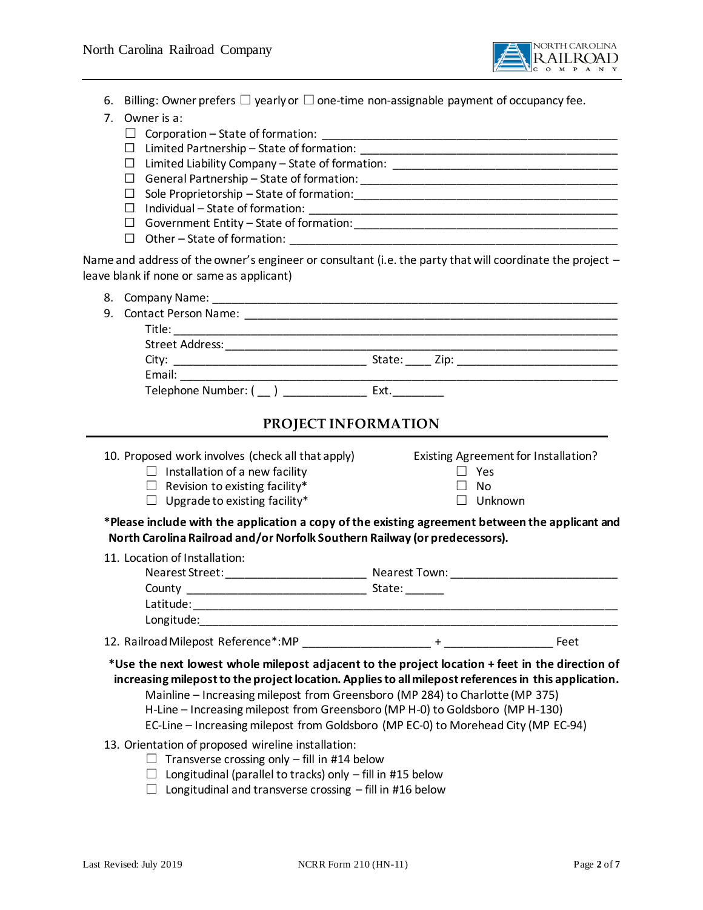

- 6. Billing: Owner prefers  $\Box$  yearly or  $\Box$  one-time non-assignable payment of occupancy fee.
- 7. Owner is a:
	- ☐ Corporation State of formation: \_\_\_\_\_\_\_\_\_\_\_\_\_\_\_\_\_\_\_\_\_\_\_\_\_\_\_\_\_\_\_\_\_\_\_\_\_\_\_\_\_\_\_\_\_\_
	- ☐ Limited Partnership State of formation: \_\_\_\_\_\_\_\_\_\_\_\_\_\_\_\_\_\_\_\_\_\_\_\_\_\_\_\_\_\_\_\_\_\_\_\_\_\_\_\_
	- ☐ Limited Liability Company State of formation: \_\_\_\_\_\_\_\_\_\_\_\_\_\_\_\_\_\_\_\_\_\_\_\_\_\_\_\_\_\_\_\_\_\_\_
	- ☐ General Partnership State of formation: \_\_\_\_\_\_\_\_\_\_\_\_\_\_\_\_\_\_\_\_\_\_\_\_\_\_\_\_\_\_\_\_\_\_\_\_\_\_\_\_
	- ☐ Sole Proprietorship State of formation:\_\_\_\_\_\_\_\_\_\_\_\_\_\_\_\_\_\_\_\_\_\_\_\_\_\_\_\_\_\_\_\_\_\_\_\_\_\_\_\_\_
	- ☐ Individual State of formation: \_\_\_\_\_\_\_\_\_\_\_\_\_\_\_\_\_\_\_\_\_\_\_\_\_\_\_\_\_\_\_\_\_\_\_\_\_\_\_\_\_\_\_\_\_\_\_\_
	- ☐ Government Entity State of formation:\_\_\_\_\_\_\_\_\_\_\_\_\_\_\_\_\_\_\_\_\_\_\_\_\_\_\_\_\_\_\_\_\_\_\_\_\_\_\_\_\_
	- □ Other State of formation:

Name and address of the owner's engineer or consultant (i.e. the party that will coordinate the project leave blank if none or same as applicant)

| 9. Contact Person Name:                   |      |  |
|-------------------------------------------|------|--|
|                                           |      |  |
| Street Address: _________________________ |      |  |
|                                           |      |  |
|                                           |      |  |
| Telephone Number: ()                      | Ext. |  |
|                                           |      |  |

### **PROJECT INFORMATION**

10. Proposed work involves (check all that apply) Existing Agreement for Installation? ☐ Installation of a new facility ☐ Yes

☐ Revision to existing facility\* ☐ No

- ☐ Upgrade to existing facility\* ☐ Unknown
- 

**\*Please include with the application a copy of the existing agreement between the applicant and North Carolina Railroad and/or Norfolk Southern Railway (or predecessors).**

| 11. Location of Installation: |               |  |
|-------------------------------|---------------|--|
| Nearest Street:               | Nearest Town: |  |
| County                        | State:        |  |
| Latitude:                     |               |  |
| Longitude:                    |               |  |
|                               |               |  |

12. Railroad Milepost Reference\*:MP \_\_\_\_\_\_\_\_\_\_\_\_\_\_\_\_\_\_\_\_ + \_\_\_\_\_\_\_\_\_\_\_\_\_\_\_\_\_ Feet

**\*Use the next lowest whole milepost adjacent to the project location + feet in the direction of increasing milepost to the project location. Applies to all milepost references in this application.** Mainline – Increasing milepost from Greensboro (MP 284) to Charlotte (MP 375)

- H-Line Increasing milepost from Greensboro (MP H-0) to Goldsboro (MP H-130)
- EC-Line Increasing milepost from Goldsboro (MP EC-0) to Morehead City (MP EC-94)
- 13. Orientation of proposed wireline installation:
	- $\Box$  Transverse crossing only fill in #14 below
	- $\Box$  Longitudinal (parallel to tracks) only fill in [#15](#page-2-0) below
	- $\Box$  Longitudinal and transverse crossing fill in #16 below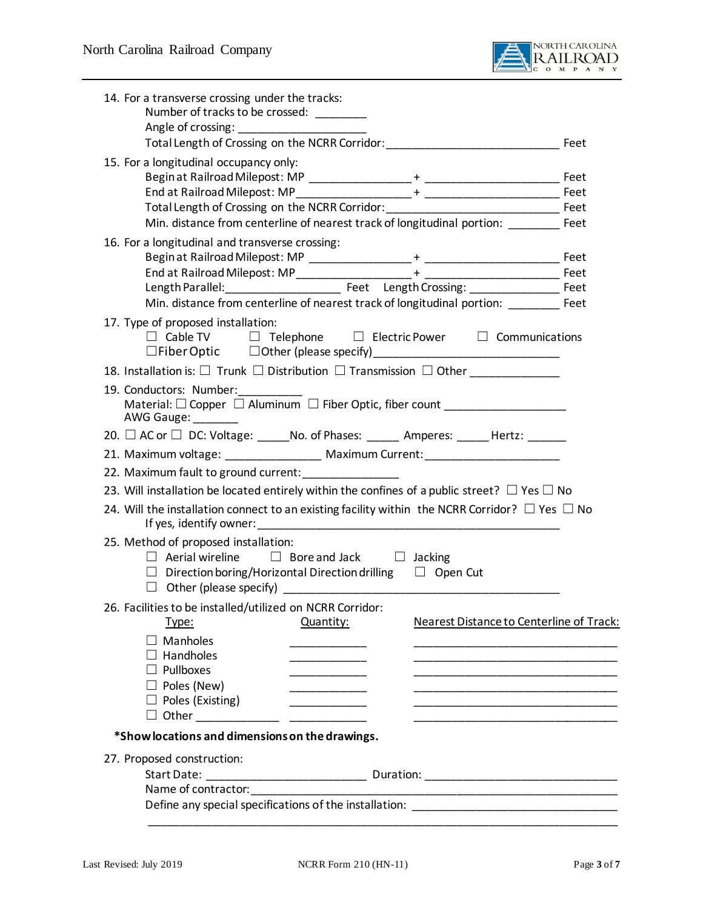

<span id="page-2-0"></span>

| 14. For a transverse crossing under the tracks:<br>Number of tracks to be crossed: ________                        |                |                                                 |      |
|--------------------------------------------------------------------------------------------------------------------|----------------|-------------------------------------------------|------|
|                                                                                                                    |                |                                                 |      |
|                                                                                                                    |                |                                                 |      |
| 15. For a longitudinal occupancy only:                                                                             |                |                                                 |      |
|                                                                                                                    |                |                                                 |      |
|                                                                                                                    |                |                                                 | Feet |
|                                                                                                                    |                |                                                 |      |
| Min. distance from centerline of nearest track of longitudinal portion: Feet                                       |                |                                                 |      |
| 16. For a longitudinal and transverse crossing:                                                                    |                |                                                 |      |
|                                                                                                                    |                |                                                 |      |
|                                                                                                                    |                |                                                 |      |
| Min. distance from centerline of nearest track of longitudinal portion: ________ Feet                              |                |                                                 | Feet |
|                                                                                                                    |                |                                                 |      |
| 17. Type of proposed installation:<br>$\Box$ Cable TV $\Box$ Telephone $\Box$ Electric Power $\Box$ Communications |                |                                                 |      |
|                                                                                                                    |                |                                                 |      |
| 19. Conductors: Number:                                                                                            |                |                                                 |      |
| Material: □ Copper □ Aluminum □ Fiber Optic, fiber count ______________________<br>AWG Gauge:                      |                |                                                 |      |
| 20. □ AC or □ DC: Voltage: ______No. of Phases: ______ Amperes: ______ Hertz: ______                               |                |                                                 |      |
| 21. Maximum voltage: _________________ Maximum Current: ________________________                                   |                |                                                 |      |
| 22. Maximum fault to ground current:                                                                               |                |                                                 |      |
| 23. Will installation be located entirely within the confines of a public street? $\Box$ Yes $\Box$ No             |                |                                                 |      |
| 24. Will the installation connect to an existing facility within the NCRR Corridor? $\Box$ Yes $\Box$ No           |                |                                                 |      |
| 25. Method of proposed installation:                                                                               |                |                                                 |      |
| $\Box$ Aerial wireline $\Box$ Bore and Jack $\Box$ Jacking                                                         |                |                                                 |      |
| $\Box$ Direction boring/Horizontal Direction drilling $\Box$ Open Cut                                              |                |                                                 |      |
|                                                                                                                    |                |                                                 |      |
| 26. Facilities to be installed/utilized on NCRR Corridor:                                                          |                |                                                 |      |
| <u>Type:</u>                                                                                                       | Quantity:      | <b>Nearest Distance to Centerline of Track:</b> |      |
| $\Box$ Manholes                                                                                                    |                |                                                 |      |
| $\Box$ Handholes                                                                                                   |                |                                                 |      |
| $\Box$ Pullboxes                                                                                                   |                |                                                 |      |
| $\Box$ Poles (New)                                                                                                 |                |                                                 |      |
| $\Box$ Poles (Existing)                                                                                            | ______________ |                                                 |      |
|                                                                                                                    |                |                                                 |      |
| *Show locations and dimensions on the drawings.                                                                    |                |                                                 |      |
| 27. Proposed construction:                                                                                         |                |                                                 |      |
|                                                                                                                    |                |                                                 |      |
|                                                                                                                    |                |                                                 |      |
|                                                                                                                    |                |                                                 |      |
|                                                                                                                    |                |                                                 |      |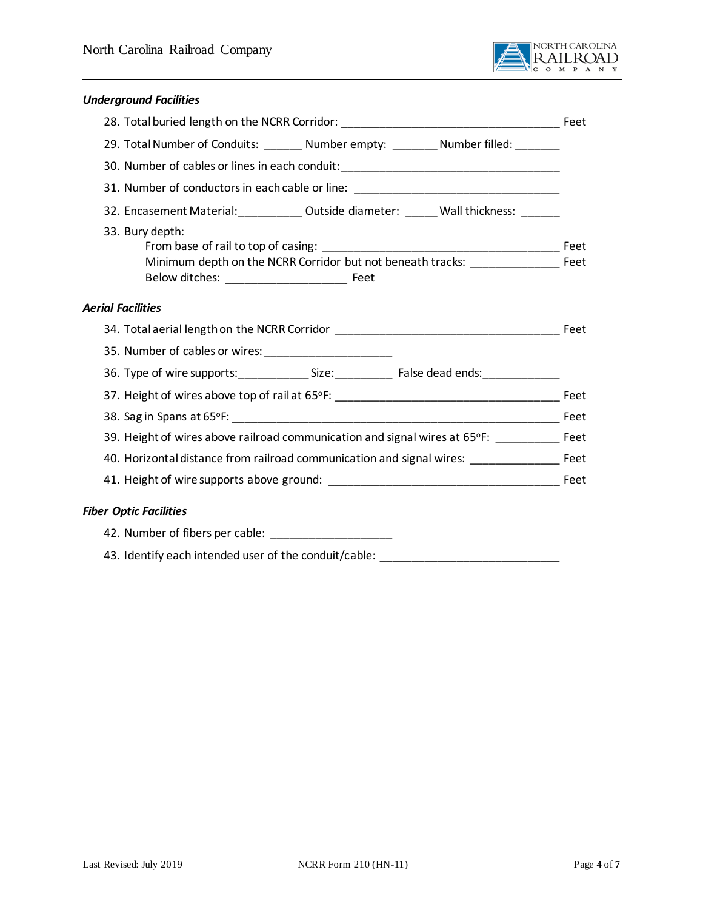

### *Underground Facilities*

| 29. Total Number of Conduits: ________ Number empty: _________ Number filled: _______                    |  |  |
|----------------------------------------------------------------------------------------------------------|--|--|
| 30. Number of cables or lines in each conduit: _________________________________                         |  |  |
| 31. Number of conductors in each cable or line: ________________________________                         |  |  |
| 32. Encasement Material:____________ Outside diameter: ______ Wall thickness: ______                     |  |  |
| 33. Bury depth:<br>Minimum depth on the NCRR Corridor but not beneath tracks: _____________________ Feet |  |  |
| <b>Aerial Facilities</b>                                                                                 |  |  |
| 34. Total aerial length on the NCRR Corridor entries and the set of the set of the Feet                  |  |  |
|                                                                                                          |  |  |
|                                                                                                          |  |  |
|                                                                                                          |  |  |
|                                                                                                          |  |  |
| 39. Height of wires above railroad communication and signal wires at 65°F: __________ Feet               |  |  |
|                                                                                                          |  |  |
|                                                                                                          |  |  |
| <b>Fiber Optic Facilities</b>                                                                            |  |  |
| 42. Number of fibers per cable: ________________________                                                 |  |  |
| 43. Identify each intended user of the conduit/cable:                                                    |  |  |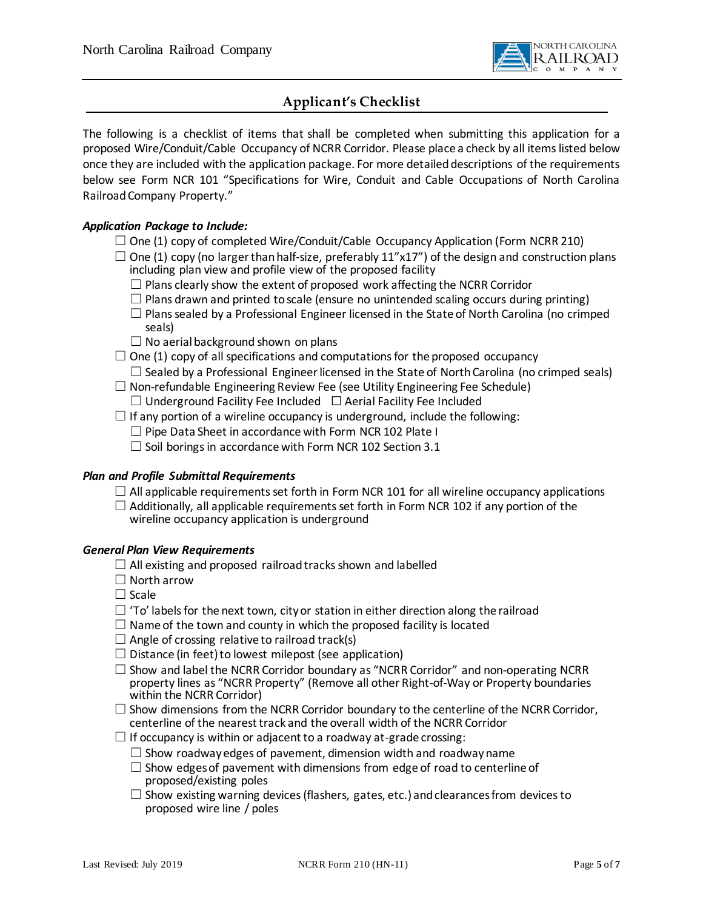

## **Applicant's Checklist**

The following is a checklist of items that shall be completed when submitting this application for a proposed Wire/Conduit/Cable Occupancy of NCRR Corridor. Please place a check by all items listed below once they are included with the application package. For more detailed descriptions of the requirements below see Form NCR 101 "Specifications for Wire, Conduit and Cable Occupations of North Carolina Railroad Company Property."

#### *Application Package to Include:*

- $\square$  One (1) copy of completed Wire/Conduit/Cable Occupancy Application (Form NCRR 210)
- $\square$  One (1) copy (no larger than half-size, preferably 11"x17") of the design and construction plans including plan view and profile view of the proposed facility
	- $\Box$  Plans clearly show the extent of proposed work affecting the NCRR Corridor
	- $\Box$  Plans drawn and printed to scale (ensure no unintended scaling occurs during printing)
	- $\Box$  Plans sealed by a Professional Engineer licensed in the State of North Carolina (no crimped seals)
	- $\Box$  No aerial background shown on plans
- $\Box$  One (1) copy of all specifications and computations for the proposed occupancy  $\Box$  Sealed by a Professional Engineer licensed in the State of North Carolina (no crimped seals)
- $\Box$  Non-refundable Engineering Review Fee (see Utility Engineering Fee Schedule)  $\Box$  Underground Facility Fee Included  $\Box$  Aerial Facility Fee Included
- $\Box$  If any portion of a wireline occupancy is underground, include the following:
	- $\Box$  Pipe Data Sheet in accordance with Form NCR 102 Plate I
	- $\Box$  Soil borings in accordance with Form NCR 102 Section 3.1

#### *Plan and Profile Submittal Requirements*

- $\Box$  All applicable requirements set forth in Form NCR 101 for all wireline occupancy applications
- $\Box$  Additionally, all applicable requirements set forth in Form NCR 102 if any portion of the wireline occupancy application is underground

#### *General Plan View Requirements*

- $\Box$  All existing and proposed railroad tracks shown and labelled
- $\Box$  North arrow
- ☐ Scale
- $\Box$  'To' labels for the next town, city or station in either direction along the railroad
- $\Box$  Name of the town and county in which the proposed facility is located
- $\Box$  Angle of crossing relative to railroad track(s)
- $\Box$  Distance (in feet) to lowest milepost (see application)
- $\Box$  Show and label the NCRR Corridor boundary as "NCRR Corridor" and non-operating NCRR property lines as "NCRR Property" (Remove all other Right-of-Way or Property boundaries within the NCRR Corridor)
- $\Box$  Show dimensions from the NCRR Corridor boundary to the centerline of the NCRR Corridor, centerline of the nearest track and the overall width of the NCRR Corridor
- $\Box$  If occupancy is within or adjacent to a roadway at-grade crossing:
	- $\Box$  Show roadway edges of pavement, dimension width and roadway name
	- $\square$  Show edges of pavement with dimensions from edge of road to centerline of proposed/existing poles
	- $\Box$  Show existing warning devices (flashers, gates, etc.) and clearances from devices to proposed wire line / poles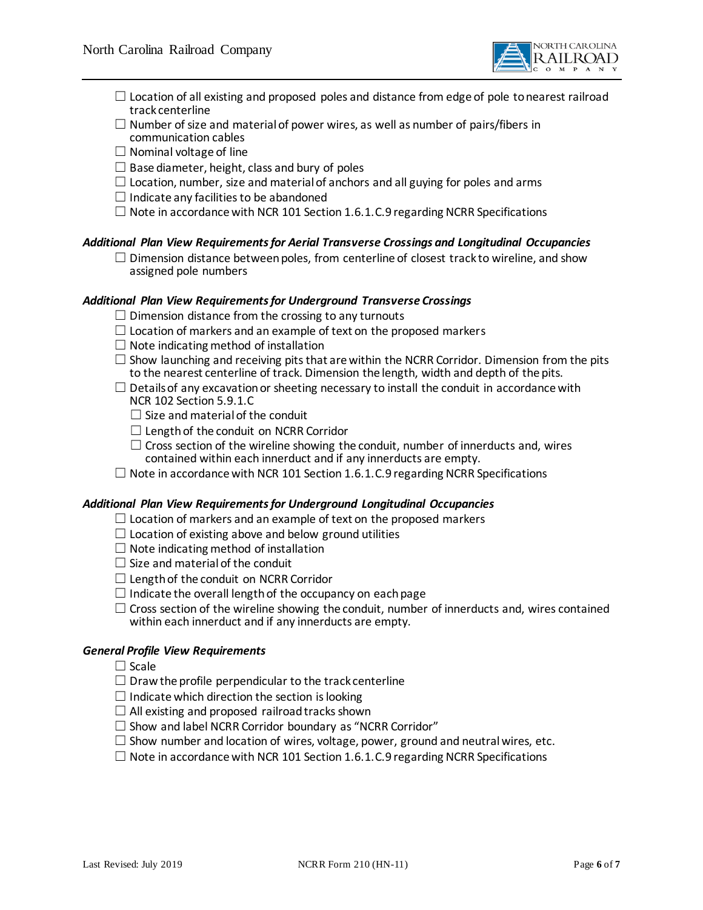

- $\Box$  Location of all existing and proposed poles and distance from edge of pole to nearest railroad track centerline
- $\Box$  Number of size and material of power wires, as well as number of pairs/fibers in communication cables
- $\Box$  Nominal voltage of line
- $\Box$  Base diameter, height, class and bury of poles
- $\Box$  Location, number, size and material of anchors and all guying for poles and arms
- $\Box$  Indicate any facilities to be abandoned
- $\Box$  Note in accordance with NCR 101 Section 1.6.1. C.9 regarding NCRR Specifications

#### *Additional Plan View Requirements for Aerial Transverse Crossings and Longitudinal Occupancies*

 $\Box$  Dimension distance between poles, from centerline of closest track to wireline, and show assigned pole numbers

#### *Additional Plan View Requirements for Underground Transverse Crossings*

- $\Box$  Dimension distance from the crossing to any turnouts
- $\Box$  Location of markers and an example of text on the proposed markers
- $\Box$  Note indicating method of installation
- $\square$  Show launching and receiving pits that are within the NCRR Corridor. Dimension from the pits to the nearest centerline of track. Dimension the length, width and depth of the pits.
- $\Box$  Details of any excavation or sheeting necessary to install the conduit in accordance with NCR 102 Section 5.9.1.C
	- $\Box$  Size and material of the conduit
	- $\Box$  Length of the conduit on NCRR Corridor
	- $\Box$  Cross section of the wireline showing the conduit, number of innerducts and, wires contained within each innerduct and if any innerducts are empty.
- $\Box$  Note in accordance with NCR 101 Section 1.6.1. C.9 regarding NCRR Specifications

#### *Additional Plan View Requirements for Underground Longitudinal Occupancies*

- $\Box$  Location of markers and an example of text on the proposed markers
- $\Box$  Location of existing above and below ground utilities
- $\Box$  Note indicating method of installation
- $\Box$  Size and material of the conduit
- $\Box$  Length of the conduit on NCRR Corridor
- $\Box$  Indicate the overall length of the occupancy on each page
- $\Box$  Cross section of the wireline showing the conduit, number of innerducts and, wires contained within each innerduct and if any innerducts are empty.

#### *General Profile View Requirements*

- ☐ Scale
- $\Box$  Draw the profile perpendicular to the track centerline
- $\Box$  Indicate which direction the section is looking
- $\Box$  All existing and proposed railroad tracks shown
- $\Box$  Show and label NCRR Corridor boundary as "NCRR Corridor"
- $\square$  Show number and location of wires, voltage, power, ground and neutral wires, etc.
- $\Box$  Note in accordance with NCR 101 Section 1.6.1. C.9 regarding NCRR Specifications